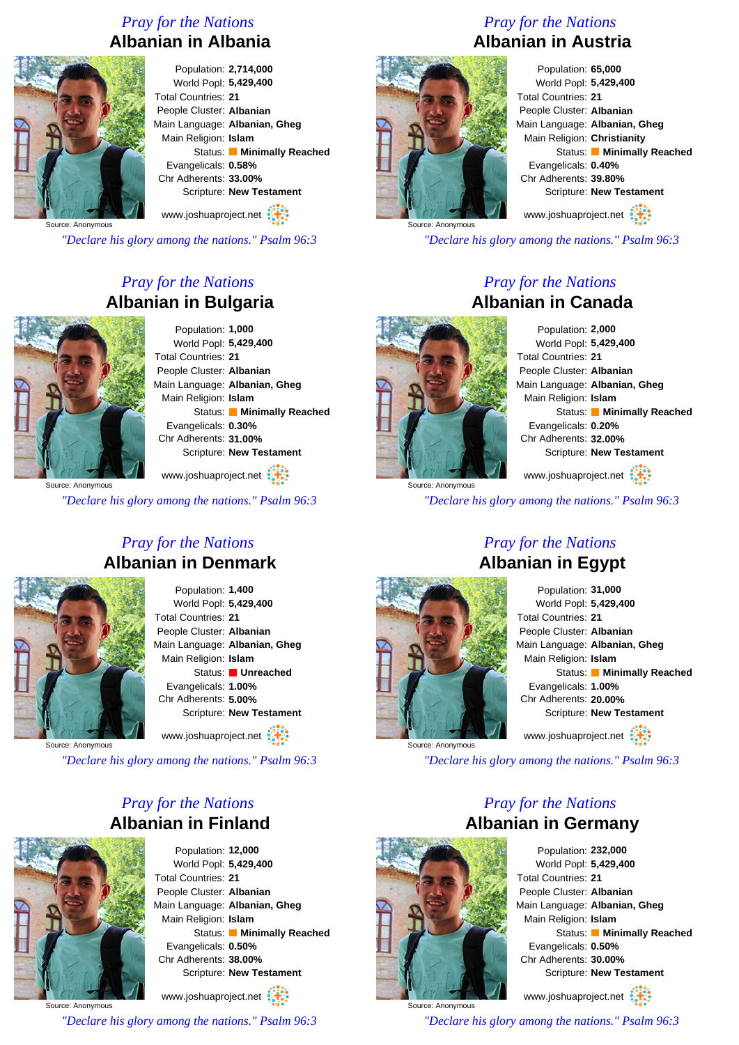## *Pray for the Nations* **Albanian in Albania**



Population: **2,714,000** World Popl: **5,429,400** Total Countries: **21** People Cluster: **Albanian** Main Language: **Albanian, Gheg** Main Religion: **Islam** Status: **Minimally Reached** Evangelicals: **0.58%** Chr Adherents: **33.00%** Scripture: **New Testament** www.joshuaproject.net

Source: Anonymous

*"Declare his glory among the nations." Psalm 96:3*

## *Pray for the Nations* **Albanian in Bulgaria**



Population: **1,000** World Popl: **5,429,400** Total Countries: **21** People Cluster: **Albanian** Main Language: **Albanian, Gheg** Main Religion: **Islam** Status: **Minimally Reached** Evangelicals: **0.30%** Chr Adherents: **31.00%** Scripture: **New Testament**

www.joshuaproject.net

*"Declare his glory among the nations." Psalm 96:3*

#### *Pray for the Nations* **Albanian in Denmark**



Population: **1,400** World Popl: **5,429,400** Total Countries: **21** People Cluster: **Albanian** Main Language: **Albanian, Gheg** Main Religion: **Islam** Status: **Unreached** Evangelicals: **1.00%** Chr Adherents: **5.00%** Scripture: **New Testament** www.joshuaproject.net

Source: Anonymous

*"Declare his glory among the nations." Psalm 96:3*

#### *Pray for the Nations* **Albanian in Finland**



Population: **12,000** World Popl: **5,429,400** Total Countries: **21** People Cluster: **Albanian** Main Language: **Albanian, Gheg** Main Religion: **Islam** Status: **Minimally Reached** Evangelicals: **0.50%** Chr Adherents: **38.00%** Scripture: **New Testament** www.joshuaproject.net

Source: Anonymous *"Declare his glory among the nations." Psalm 96:3*

## *Pray for the Nations* **Albanian in Austria**



Population: **65,000** World Popl: **5,429,400** Total Countries: **21** People Cluster: **Albanian** Main Language: **Albanian, Gheg** Main Religion: **Christianity** Status: **Minimally Reached** Evangelicals: **0.40%** Chr Adherents: **39.80%** Scripture: **New Testament** www.joshuaproject.net

*"Declare his glory among the nations." Psalm 96:3*

#### *Pray for the Nations* **Albanian in Canada**

Source: Anonymous

Population: **2,000** World Popl: **5,429,400** Total Countries: **21** People Cluster: **Albanian** Main Language: **Albanian, Gheg** Main Religion: **Islam** Status: **Minimally Reached** Evangelicals: **0.20%** Chr Adherents: **32.00%** Scripture: **New Testament** www.joshuaproject.net

*"Declare his glory among the nations." Psalm 96:3*

Source: Anonymous

# *Pray for the Nations* **Albanian in Egypt**

| Population: 31,000            |
|-------------------------------|
| World Popl: 5,429,400         |
| <b>Total Countries: 21</b>    |
| People Cluster: Albanian      |
| Main Language: Albanian, Gheg |
| Main Religion: Islam          |
| Status: Minimally Reached     |
| Evangelicals: 1.00%           |
| Chr Adherents: 20.00%         |
| Scripture: New Testament      |
| www.joshuaproject.net         |

*"Declare his glory among the nations." Psalm 96:3*

## *Pray for the Nations* **Albanian in Germany**



Population: **232,000** World Popl: **5,429,400** Total Countries: **21** People Cluster: **Albanian** Main Language: **Albanian, Gheg** Main Religion: **Islam** Status: **Minimally Reached** Evangelicals: **0.50%** Chr Adherents: **30.00%** Scripture: **New Testament** www.joshuaproject.net

*"Declare his glory among the nations." Psalm 96:3*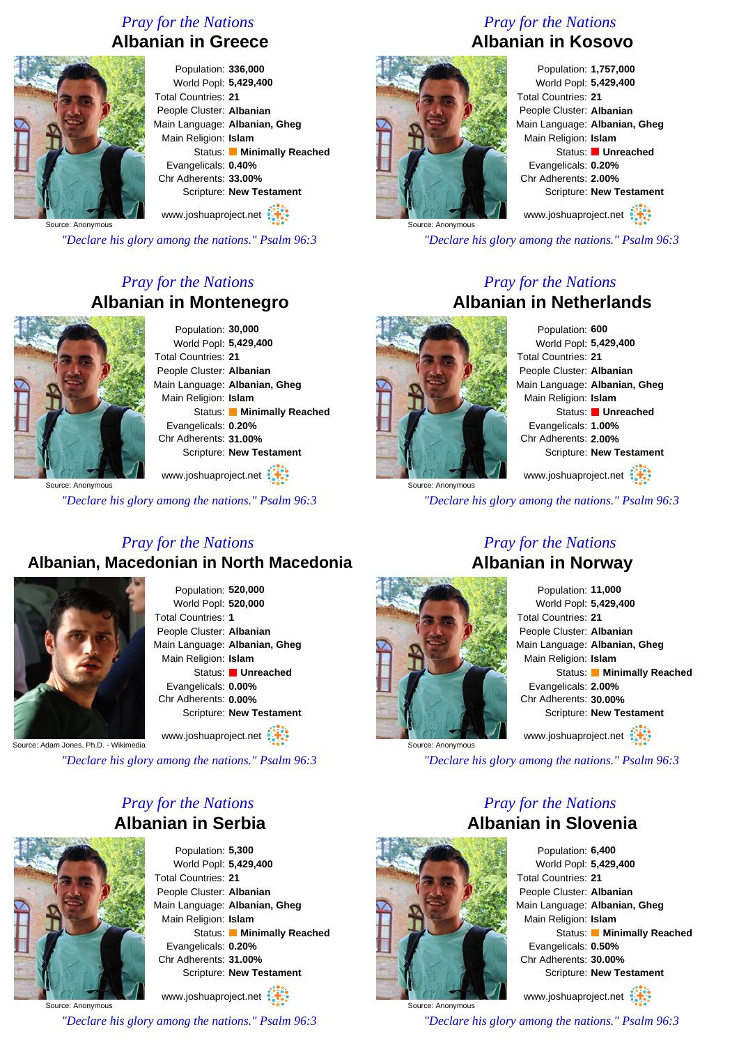## *Pray for the Nations* **Albanian in Greece**



Population: **336,000** World Popl: **5,429,400** Total Countries: **21** People Cluster: **Albanian** Main Language: **Albanian, Gheg** Main Religion: **Islam** Status: **Minimally Reached** Evangelicals: **0.40%** Chr Adherents: **33.00%** Scripture: **New Testament** www.joshuaproject.net

Source: Anonymous

*"Declare his glory among the nations." Psalm 96:3*

## *Pray for the Nations* **Albanian in Montenegro**



Population: **30,000** World Popl: **5,429,400** Total Countries: **21** People Cluster: **Albanian** Main Language: **Albanian, Gheg** Main Religion: **Islam** Status: **Minimally Reached** Evangelicals: **0.20%** Chr Adherents: **31.00%** Scripture: **New Testament**

www.joshuaproject.net

*"Declare his glory among the nations." Psalm 96:3*

## *Pray for the Nations* **Albanian, Macedonian in North Macedonia**



Population: **520,000** World Popl: **520,000** Total Countries: **1** People Cluster: **Albanian** Main Language: **Albanian, Gheg** Main Religion: **Islam** Status: **Unreached** Evangelicals: **0.00%** Chr Adherents: **0.00%** Scripture: **New Testament** www.joshuaproject.net

Source: Adam Jones, Ph.D. - Wikimedia

*"Declare his glory among the nations." Psalm 96:3*

## *Pray for the Nations* **Albanian in Serbia**



Population: **5,300** World Popl: **5,429,400** Total Countries: **21** People Cluster: **Albanian** Main Language: **Albanian, Gheg** Main Religion: **Islam** Status: **Minimally Reached** Evangelicals: **0.20%** Chr Adherents: **31.00%** Scripture: **New Testament**

Source: Anonymous www.joshuaproject.net

*"Declare his glory among the nations." Psalm 96:3*

## *Pray for the Nations* **Albanian in Kosovo**



Population: **1,757,000** World Popl: **5,429,400** Total Countries: **21** People Cluster: **Albanian** Main Language: **Albanian, Gheg** Main Religion: **Islam** Status: **Unreached** Evangelicals: **0.20%** Chr Adherents: **2.00%** Scripture: **New Testament**

www.joshuaproject.net

*"Declare his glory among the nations." Psalm 96:3*

#### *Pray for the Nations* **Albanian in Netherlands**



Source: Anonymous

Population: **600** World Popl: **5,429,400** Total Countries: **21** People Cluster: **Albanian** Main Language: **Albanian, Gheg** Main Religion: **Islam** Status: **Unreached** Evangelicals: **1.00%** Chr Adherents: **2.00%** Scripture: **New Testament**

www.joshuaproject.net

*"Declare his glory among the nations." Psalm 96:3*



Source: Anonymous

#### *Pray for the Nations* **Albanian in Norway**

| Population: 11,000            |
|-------------------------------|
| World Popl: 5,429,400         |
| <b>Total Countries: 21</b>    |
| People Cluster: Albanian      |
| Main Language: Albanian, Gheg |
| Main Religion: Islam          |
| Status: Minimally Reached     |
| Evangelicals: 2.00%           |
| Chr Adherents: 30.00%         |
| Scripture: New Testament      |
| www.joshuaproject.net         |

*"Declare his glory among the nations." Psalm 96:3*

## *Pray for the Nations* **Albanian in Slovenia**



Population: **6,400** World Popl: **5,429,400** Total Countries: **21** People Cluster: **Albanian** Main Language: **Albanian, Gheg** Main Religion: **Islam** Status: **Minimally Reached** Evangelicals: **0.50%** Chr Adherents: **30.00%** Scripture: **New Testament** www.joshuaproject.net

*"Declare his glory among the nations." Psalm 96:3*